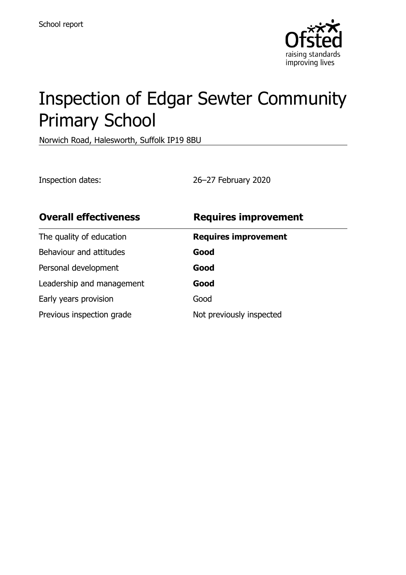

# Inspection of Edgar Sewter Community Primary School

Norwich Road, Halesworth, Suffolk IP19 8BU

Inspection dates: 26–27 February 2020

| <b>Overall effectiveness</b> | <b>Requires improvement</b> |
|------------------------------|-----------------------------|
| The quality of education     | <b>Requires improvement</b> |
| Behaviour and attitudes      | Good                        |
| Personal development         | Good                        |
| Leadership and management    | Good                        |
| Early years provision        | Good                        |
| Previous inspection grade    | Not previously inspected    |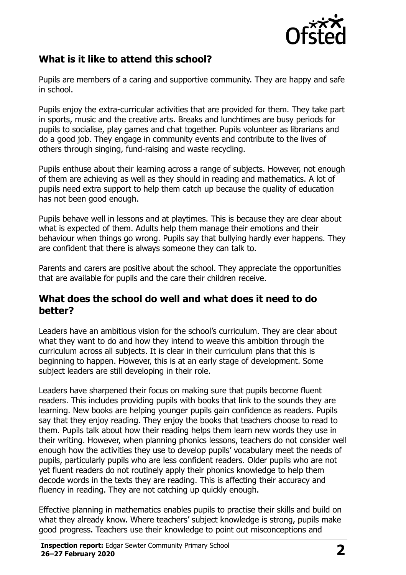

## **What is it like to attend this school?**

Pupils are members of a caring and supportive community. They are happy and safe in school.

Pupils enjoy the extra-curricular activities that are provided for them. They take part in sports, music and the creative arts. Breaks and lunchtimes are busy periods for pupils to socialise, play games and chat together. Pupils volunteer as librarians and do a good job. They engage in community events and contribute to the lives of others through singing, fund-raising and waste recycling.

Pupils enthuse about their learning across a range of subjects. However, not enough of them are achieving as well as they should in reading and mathematics. A lot of pupils need extra support to help them catch up because the quality of education has not been good enough.

Pupils behave well in lessons and at playtimes. This is because they are clear about what is expected of them. Adults help them manage their emotions and their behaviour when things go wrong. Pupils say that bullying hardly ever happens. They are confident that there is always someone they can talk to.

Parents and carers are positive about the school. They appreciate the opportunities that are available for pupils and the care their children receive.

### **What does the school do well and what does it need to do better?**

Leaders have an ambitious vision for the school's curriculum. They are clear about what they want to do and how they intend to weave this ambition through the curriculum across all subjects. It is clear in their curriculum plans that this is beginning to happen. However, this is at an early stage of development. Some subject leaders are still developing in their role.

Leaders have sharpened their focus on making sure that pupils become fluent readers. This includes providing pupils with books that link to the sounds they are learning. New books are helping younger pupils gain confidence as readers. Pupils say that they enjoy reading. They enjoy the books that teachers choose to read to them. Pupils talk about how their reading helps them learn new words they use in their writing. However, when planning phonics lessons, teachers do not consider well enough how the activities they use to develop pupils' vocabulary meet the needs of pupils, particularly pupils who are less confident readers. Older pupils who are not yet fluent readers do not routinely apply their phonics knowledge to help them decode words in the texts they are reading. This is affecting their accuracy and fluency in reading. They are not catching up quickly enough.

Effective planning in mathematics enables pupils to practise their skills and build on what they already know. Where teachers' subject knowledge is strong, pupils make good progress. Teachers use their knowledge to point out misconceptions and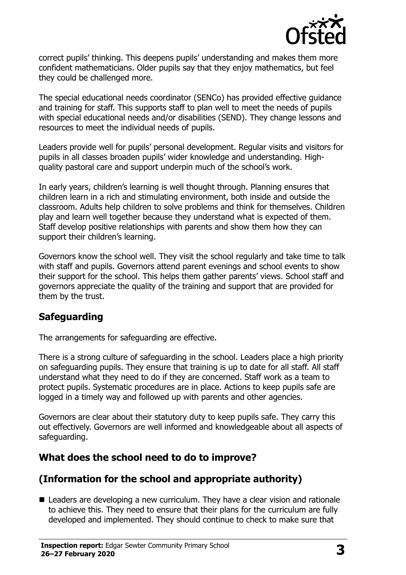

correct pupils' thinking. This deepens pupils' understanding and makes them more confident mathematicians. Older pupils say that they enjoy mathematics, but feel they could be challenged more.

The special educational needs coordinator (SENCo) has provided effective guidance and training for staff. This supports staff to plan well to meet the needs of pupils with special educational needs and/or disabilities (SEND). They change lessons and resources to meet the individual needs of pupils.

Leaders provide well for pupils' personal development. Regular visits and visitors for pupils in all classes broaden pupils' wider knowledge and understanding. Highquality pastoral care and support underpin much of the school's work.

In early years, children's learning is well thought through. Planning ensures that children learn in a rich and stimulating environment, both inside and outside the classroom. Adults help children to solve problems and think for themselves. Children play and learn well together because they understand what is expected of them. Staff develop positive relationships with parents and show them how they can support their children's learning.

Governors know the school well. They visit the school regularly and take time to talk with staff and pupils. Governors attend parent evenings and school events to show their support for the school. This helps them gather parents' views. School staff and governors appreciate the quality of the training and support that are provided for them by the trust.

## **Safeguarding**

The arrangements for safeguarding are effective.

There is a strong culture of safeguarding in the school. Leaders place a high priority on safeguarding pupils. They ensure that training is up to date for all staff. All staff understand what they need to do if they are concerned. Staff work as a team to protect pupils. Systematic procedures are in place. Actions to keep pupils safe are logged in a timely way and followed up with parents and other agencies.

Governors are clear about their statutory duty to keep pupils safe. They carry this out effectively. Governors are well informed and knowledgeable about all aspects of safeguarding.

## **What does the school need to do to improve?**

## **(Information for the school and appropriate authority)**

■ Leaders are developing a new curriculum. They have a clear vision and rationale to achieve this. They need to ensure that their plans for the curriculum are fully developed and implemented. They should continue to check to make sure that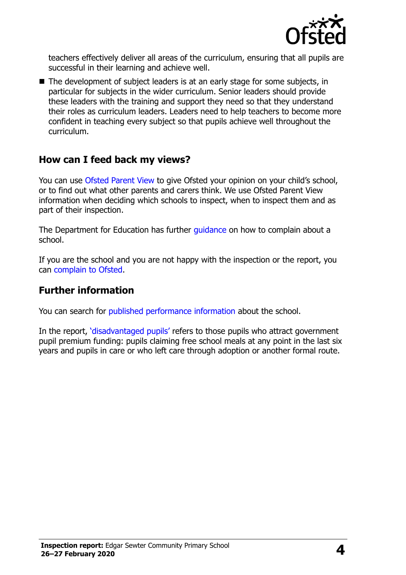

teachers effectively deliver all areas of the curriculum, ensuring that all pupils are successful in their learning and achieve well.

The development of subject leaders is at an early stage for some subjects, in particular for subjects in the wider curriculum. Senior leaders should provide these leaders with the training and support they need so that they understand their roles as curriculum leaders. Leaders need to help teachers to become more confident in teaching every subject so that pupils achieve well throughout the curriculum.

#### **How can I feed back my views?**

You can use [Ofsted Parent View](http://parentview.ofsted.gov.uk/) to give Ofsted your opinion on your child's school, or to find out what other parents and carers think. We use Ofsted Parent View information when deciding which schools to inspect, when to inspect them and as part of their inspection.

The Department for Education has further quidance on how to complain about a school.

If you are the school and you are not happy with the inspection or the report, you can [complain to Ofsted.](http://www.gov.uk/complain-ofsted-report)

## **Further information**

You can search for [published performance information](http://www.compare-school-performance.service.gov.uk/) about the school.

In the report, '[disadvantaged pupils](http://www.gov.uk/guidance/pupil-premium-information-for-schools-and-alternative-provision-settings)' refers to those pupils who attract government pupil premium funding: pupils claiming free school meals at any point in the last six years and pupils in care or who left care through adoption or another formal route.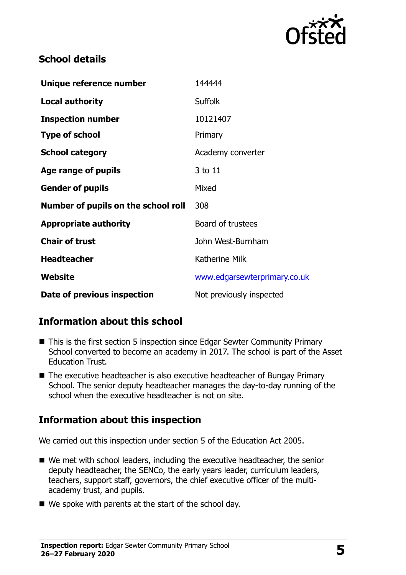

## **School details**

| Unique reference number             | 144444                       |
|-------------------------------------|------------------------------|
| <b>Local authority</b>              | <b>Suffolk</b>               |
| <b>Inspection number</b>            | 10121407                     |
| <b>Type of school</b>               | Primary                      |
| <b>School category</b>              | Academy converter            |
| Age range of pupils                 | 3 to 11                      |
| <b>Gender of pupils</b>             | Mixed                        |
| Number of pupils on the school roll | 308                          |
| <b>Appropriate authority</b>        | Board of trustees            |
| <b>Chair of trust</b>               | John West-Burnham            |
| <b>Headteacher</b>                  | <b>Katherine Milk</b>        |
| Website                             | www.edgarsewterprimary.co.uk |
| Date of previous inspection         | Not previously inspected     |

## **Information about this school**

- This is the first section 5 inspection since Edgar Sewter Community Primary School converted to become an academy in 2017. The school is part of the Asset Education Trust.
- The executive headteacher is also executive headteacher of Bungay Primary School. The senior deputy headteacher manages the day-to-day running of the school when the executive headteacher is not on site.

## **Information about this inspection**

We carried out this inspection under section 5 of the Education Act 2005.

- We met with school leaders, including the executive headteacher, the senior deputy headteacher, the SENCo, the early years leader, curriculum leaders, teachers, support staff, governors, the chief executive officer of the multiacademy trust, and pupils.
- $\blacksquare$  We spoke with parents at the start of the school day.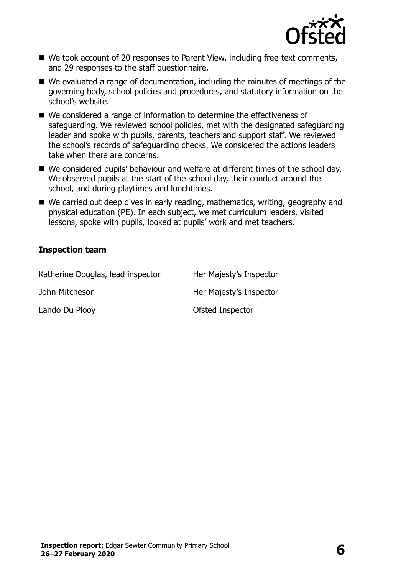

- We took account of 20 responses to Parent View, including free-text comments, and 29 responses to the staff questionnaire.
- We evaluated a range of documentation, including the minutes of meetings of the governing body, school policies and procedures, and statutory information on the school's website.
- We considered a range of information to determine the effectiveness of safeguarding. We reviewed school policies, met with the designated safeguarding leader and spoke with pupils, parents, teachers and support staff. We reviewed the school's records of safeguarding checks. We considered the actions leaders take when there are concerns.
- We considered pupils' behaviour and welfare at different times of the school day. We observed pupils at the start of the school day, their conduct around the school, and during playtimes and lunchtimes.
- We carried out deep dives in early reading, mathematics, writing, geography and physical education (PE). In each subject, we met curriculum leaders, visited lessons, spoke with pupils, looked at pupils' work and met teachers.

#### **Inspection team**

| Katherine Douglas, lead inspector | Her Majesty's Inspector |
|-----------------------------------|-------------------------|
| John Mitcheson                    | Her Majesty's Inspector |
| Lando Du Plooy                    | Ofsted Inspector        |